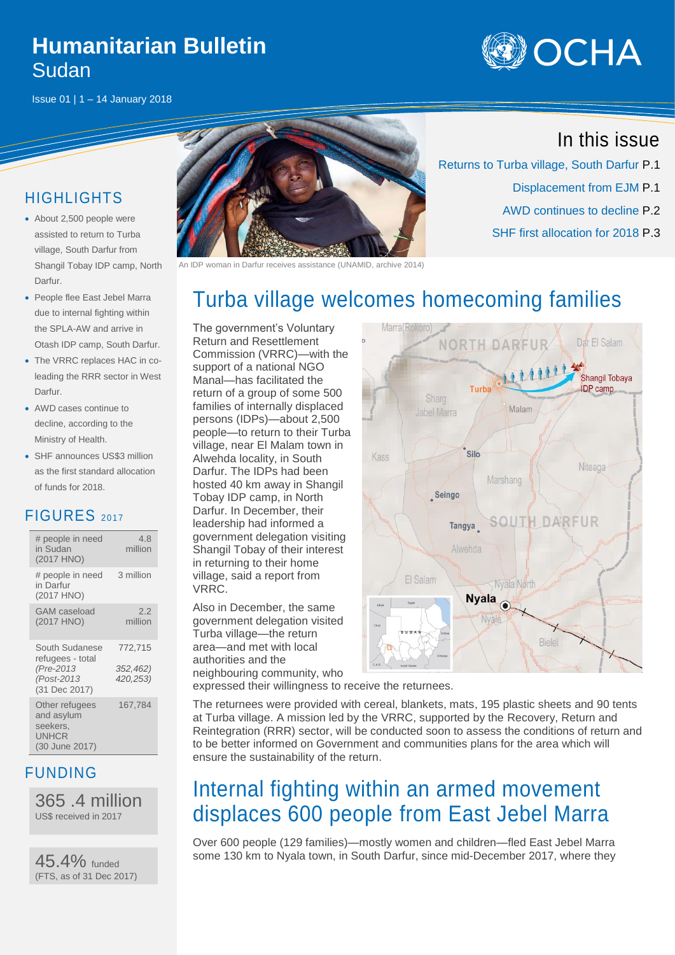### **Humanitarian Bulletin** Sudan



Issue 01 | 1 – 14 January 2018

#### HIGHLIGHTS

- About 2,500 people were assisted to return to Turba village, South Darfur from Shangil Tobay IDP camp, North Darfur.
- People flee East Jebel Marra due to internal fighting within the SPLA-AW and arrive in Otash IDP camp, South Darfur.
- The VRRC replaces HAC in coleading the RRR sector in West Darfur.
- AWD cases continue to decline, according to the Ministry of Health.
- SHF announces US\$3 million as the first standard allocation of funds for 2018.

#### FIGURES <sup>2017</sup>

| # people in need<br>in Sudan<br>(2017 HNO)                                     | 4.8<br>million                  |
|--------------------------------------------------------------------------------|---------------------------------|
| # people in need<br>in Darfur<br>(2017 HNO)                                    | 3 million                       |
| GAM caseload<br>(2017 HNO)                                                     | 2.2<br>million                  |
| South Sudanese<br>refugees - total<br>(Pre-2013<br>(Post-2013<br>(31 Dec 2017) | 772,715<br>352,462)<br>420,253) |
| Other refugees<br>and asylum<br>seekers.<br>UNHCR<br>(30 June 2017)            | 167,784                         |

#### FUNDING

365 .4 million US\$ received in 2017

45.4% funded (FTS, as of 31 Dec 2017)



woman in Darfur receives assistance (UNAMID, archive 2014)

### In this issue

Dar El Salam

Returns to Turba village, South Darfur P.1 Displacement from EJM P.1 AWD continues to decline P.2 SHF first allocation for 2018 P.3

# Turba village welcomes homecoming families

Marra(Rokoro)

The government's Voluntary Return and Resettlement Commission (VRRC)—with the support of a national NGO Manal—has facilitated the return of a group of some 500 families of internally displaced persons (IDPs)—about 2,500 people—to return to their Turba village, near El Malam town in Alwehda locality, in South Darfur. The IDPs had been hosted 40 km away in Shangil Tobay IDP camp, in North Darfur. In December, their leadership had informed a government delegation visiting Shangil Tobay of their interest in returning to their home village, said a report from VRRC.

Also in December, the same government delegation visited Turba village—the return area—and met with local authorities and the neighbouring community, who

1111 Shangil Tobaya **IDP** camp Malam **Jabel Marra**  $Silc$ Kass Niteaga Marshang Seingo SOUTH DARF Tangya El Salam Nyala No **Nyala** Bielel

NORTH DARFUR

expressed their willingness to receive the returnees.

The returnees were provided with cereal, blankets, mats, 195 plastic sheets and 90 tents at Turba village. A mission led by the VRRC, supported by the Recovery, Return and Reintegration (RRR) sector, will be conducted soon to assess the conditions of return and to be better informed on Government and communities plans for the area which will ensure the sustainability of the return.

# Internal fighting within an armed movement displaces 600 people from East Jebel Marra

Over 600 people (129 families)—mostly women and children—fled East Jebel Marra some 130 km to Nyala town, in South Darfur, since mid-December 2017, where they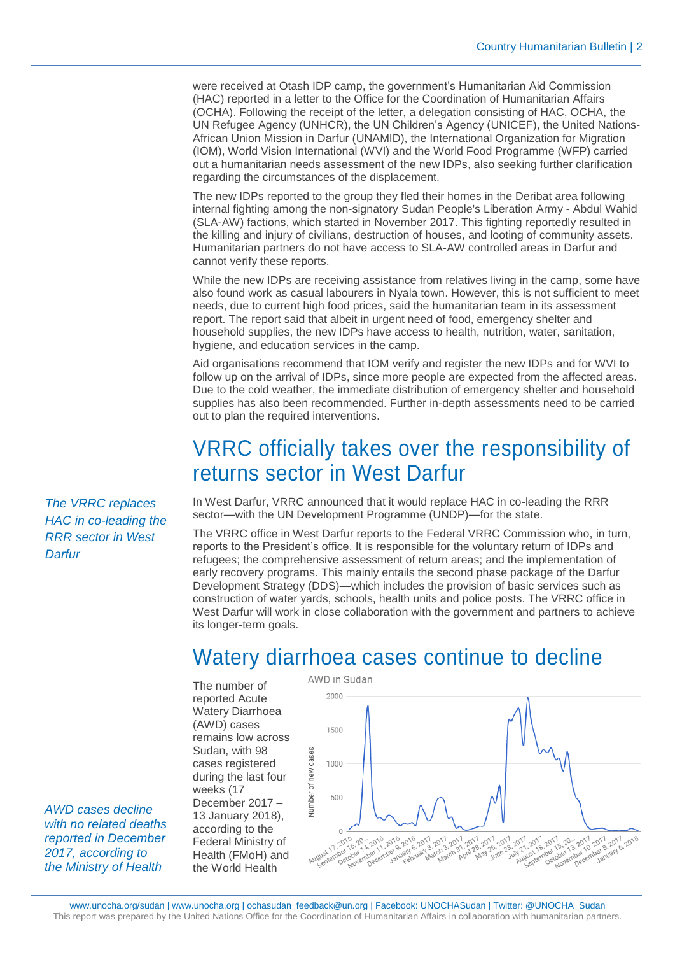were received at Otash IDP camp, the government's Humanitarian Aid Commission (HAC) reported in a letter to the Office for the Coordination of Humanitarian Affairs (OCHA). Following the receipt of the letter, a delegation consisting of HAC, OCHA, the UN Refugee Agency (UNHCR), the UN Children's Agency (UNICEF), the United Nations-African Union Mission in Darfur (UNAMID), the International Organization for Migration (IOM), World Vision International (WVI) and the World Food Programme (WFP) carried out a humanitarian needs assessment of the new IDPs, also seeking further clarification regarding the circumstances of the displacement.

The new IDPs reported to the group they fled their homes in the Deribat area following internal fighting among the non-signatory Sudan People's Liberation Army - Abdul Wahid (SLA-AW) factions, which started in November 2017. This fighting reportedly resulted in the killing and injury of civilians, destruction of houses, and looting of community assets. Humanitarian partners do not have access to SLA-AW controlled areas in Darfur and cannot verify these reports.

While the new IDPs are receiving assistance from relatives living in the camp, some have also found work as casual labourers in Nyala town. However, this is not sufficient to meet needs, due to current high food prices, said the humanitarian team in its assessment report. The report said that albeit in urgent need of food, emergency shelter and household supplies, the new IDPs have access to health, nutrition, water, sanitation, hygiene, and education services in the camp.

Aid organisations recommend that IOM verify and register the new IDPs and for WVI to follow up on the arrival of IDPs, since more people are expected from the affected areas. Due to the cold weather, the immediate distribution of emergency shelter and household supplies has also been recommended. Further in-depth assessments need to be carried out to plan the required interventions.

## VRRC officially takes over the responsibility of returns sector in West Darfur

In West Darfur, VRRC announced that it would replace HAC in co-leading the RRR sector—with the UN Development Programme (UNDP)—for the state.

The VRRC office in West Darfur reports to the Federal VRRC Commission who, in turn, reports to the President's office. It is responsible for the voluntary return of IDPs and refugees; the comprehensive assessment of return areas; and the implementation of early recovery programs. This mainly entails the second phase package of the Darfur Development Strategy (DDS)—which includes the provision of basic services such as construction of water yards, schools, health units and police posts. The VRRC office in West Darfur will work in close collaboration with the government and partners to achieve its longer-term goals.

# Watery diarrhoea cases continue to decline

The number of reported Acute Watery Diarrhoea (AWD) cases remains low across Sudan, with 98 cases registered during the last four weeks (17 December 2017 – 13 January 2018), according to the Federal Ministry of Health (FMoH) and the World Health



*The VRRC replaces HAC in co-leading the RRR sector in West Darfur*

*AWD cases decline with no related deaths reported in December 2017, according to the Ministry of Health*

www.unocha.org/sudan [| www.unocha.org](http://www.unocha.org/) | ochasudan\_feedback@un.org | Facebook: UNOCHASudan | Twitter: @UNOCHA\_Sudan This report was prepared by the United Nations Office for the Coordination of Humanitarian Affairs in collaboration with humanitarian partners.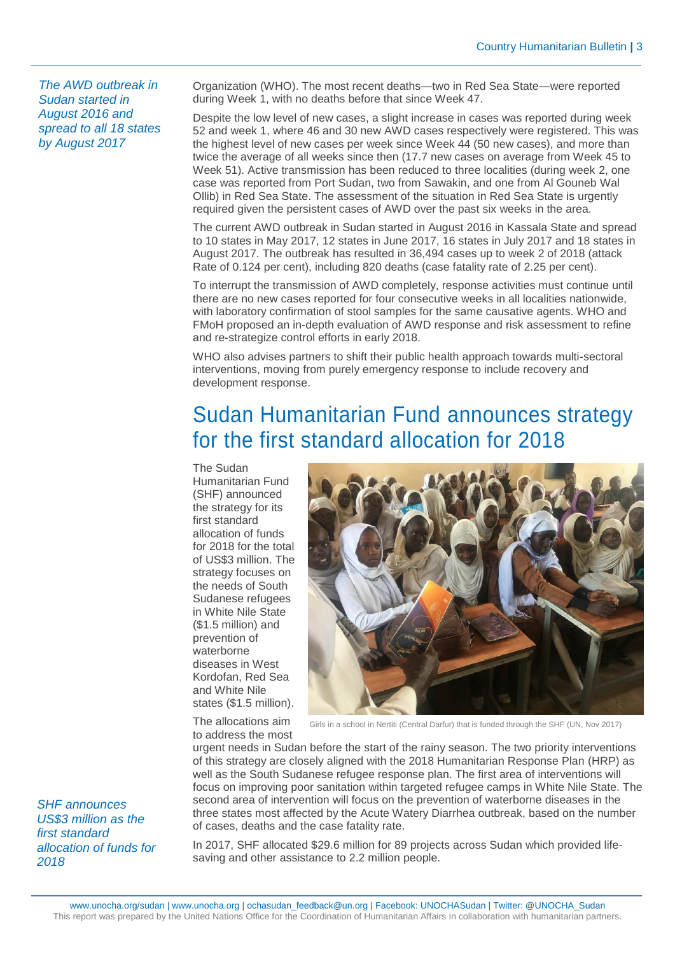*The AWD outbreak in Sudan started in August 2016 and spread to all 18 states by August 2017*

Organization (WHO). The most recent deaths—two in Red Sea State—were reported during Week 1, with no deaths before that since Week 47.

Despite the low level of new cases, a slight increase in cases was reported during week 52 and week 1, where 46 and 30 new AWD cases respectively were registered. This was the highest level of new cases per week since Week 44 (50 new cases), and more than twice the average of all weeks since then (17.7 new cases on average from Week 45 to Week 51). Active transmission has been reduced to three localities (during week 2, one case was reported from Port Sudan, two from Sawakin, and one from Al Gouneb Wal Ollib) in Red Sea State. The assessment of the situation in Red Sea State is urgently required given the persistent cases of AWD over the past six weeks in the area.

The current AWD outbreak in Sudan started in August 2016 in Kassala State and spread to 10 states in May 2017, 12 states in June 2017, 16 states in July 2017 and 18 states in August 2017. The outbreak has resulted in 36,494 cases up to week 2 of 2018 (attack Rate of 0.124 per cent), including 820 deaths (case fatality rate of 2.25 per cent).

To interrupt the transmission of AWD completely, response activities must continue until there are no new cases reported for four consecutive weeks in all localities nationwide, with laboratory confirmation of stool samples for the same causative agents. WHO and FMoH proposed an in-depth evaluation of AWD response and risk assessment to refine and re-strategize control efforts in early 2018.

WHO also advises partners to shift their public health approach towards multi-sectoral interventions, moving from purely emergency response to include recovery and development response.

## Sudan Humanitarian Fund announces strategy for the first standard allocation for 2018

The Sudan Humanitarian Fund (SHF) announced the strategy for its first standard allocation of funds for 2018 for the total of US\$3 million. The strategy focuses on the needs of South Sudanese refugees in White Nile State (\$1.5 million) and prevention of waterborne diseases in West Kordofan, Red Sea and White Nile states (\$1.5 million).



The allocations aim to address the most

Girls in a school in Nertiti (Central Darfur) that is funded through the SHF (UN, Nov 2017)

urgent needs in Sudan before the start of the rainy season. The two priority interventions of this strategy are closely aligned with the 2018 Humanitarian Response Plan (HRP) as well as the South Sudanese refugee response plan. The first area of interventions will focus on improving poor sanitation within targeted refugee camps in White Nile State. The second area of intervention will focus on the prevention of waterborne diseases in the three states most affected by the Acute Watery Diarrhea outbreak, based on the number of cases, deaths and the case fatality rate.

In 2017, SHF allocated \$29.6 million for 89 projects across Sudan which provided lifesaving and other assistance to 2.2 million people.

*SHF announces US\$3 million as the first standard allocation of funds for 2018*